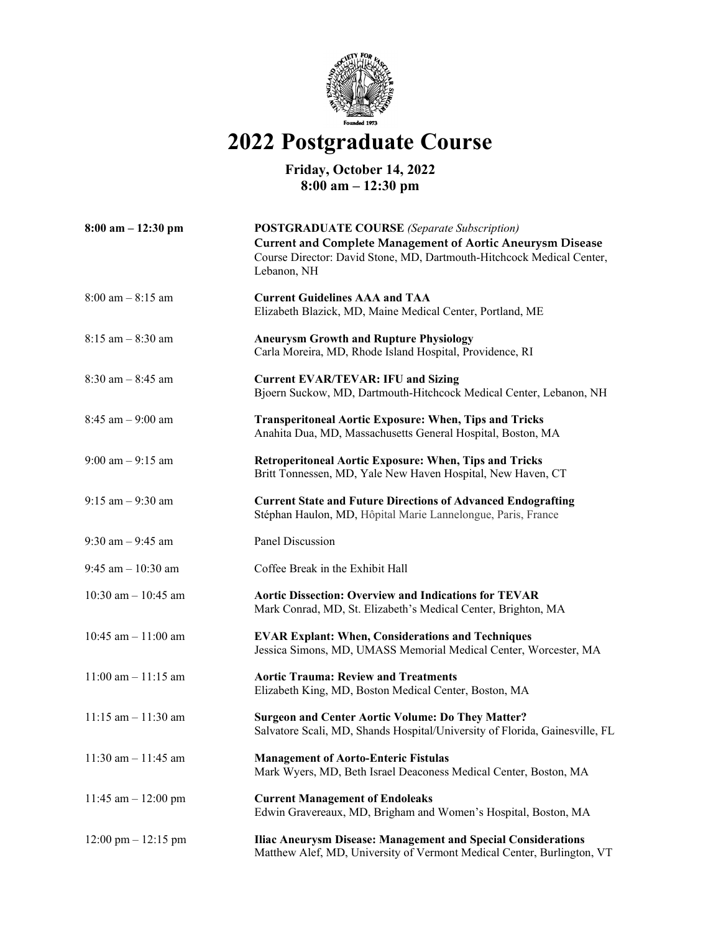

## **2022 Postgraduate Course**

## **Friday, October 14, 2022 8:00 am – 12:30 pm**

| $8:00$ am $-12:30$ pm                 | <b>POSTGRADUATE COURSE</b> (Separate Subscription)                                                                                                        |
|---------------------------------------|-----------------------------------------------------------------------------------------------------------------------------------------------------------|
|                                       | <b>Current and Complete Management of Aortic Aneurysm Disease</b><br>Course Director: David Stone, MD, Dartmouth-Hitchcock Medical Center,<br>Lebanon, NH |
| $8:00$ am $-8:15$ am                  | <b>Current Guidelines AAA and TAA</b><br>Elizabeth Blazick, MD, Maine Medical Center, Portland, ME                                                        |
| $8:15$ am $-8:30$ am                  | <b>Aneurysm Growth and Rupture Physiology</b><br>Carla Moreira, MD, Rhode Island Hospital, Providence, RI                                                 |
| $8:30$ am $-8:45$ am                  | <b>Current EVAR/TEVAR: IFU and Sizing</b><br>Bjoern Suckow, MD, Dartmouth-Hitchcock Medical Center, Lebanon, NH                                           |
| $8:45$ am $-9:00$ am                  | <b>Transperitoneal Aortic Exposure: When, Tips and Tricks</b><br>Anahita Dua, MD, Massachusetts General Hospital, Boston, MA                              |
| $9:00$ am $-9:15$ am                  | <b>Retroperitoneal Aortic Exposure: When, Tips and Tricks</b><br>Britt Tonnessen, MD, Yale New Haven Hospital, New Haven, CT                              |
| $9:15$ am $-9:30$ am                  | <b>Current State and Future Directions of Advanced Endografting</b><br>Stéphan Haulon, MD, Hôpital Marie Lannelongue, Paris, France                       |
| $9:30$ am $-9:45$ am                  | Panel Discussion                                                                                                                                          |
| $9:45$ am $-10:30$ am                 | Coffee Break in the Exhibit Hall                                                                                                                          |
| 10:30 am $-$ 10:45 am                 | <b>Aortic Dissection: Overview and Indications for TEVAR</b><br>Mark Conrad, MD, St. Elizabeth's Medical Center, Brighton, MA                             |
| 10:45 am $-$ 11:00 am                 | <b>EVAR Explant: When, Considerations and Techniques</b><br>Jessica Simons, MD, UMASS Memorial Medical Center, Worcester, MA                              |
| $11:00$ am $-11:15$ am                | <b>Aortic Trauma: Review and Treatments</b><br>Elizabeth King, MD, Boston Medical Center, Boston, MA                                                      |
| $11:15$ am $-11:30$ am                | <b>Surgeon and Center Aortic Volume: Do They Matter?</b><br>Salvatore Scali, MD, Shands Hospital/University of Florida, Gainesville, FL                   |
| $11:30$ am $-11:45$ am                | <b>Management of Aorto-Enteric Fistulas</b><br>Mark Wyers, MD, Beth Israel Deaconess Medical Center, Boston, MA                                           |
| 11:45 am $-$ 12:00 pm                 | <b>Current Management of Endoleaks</b><br>Edwin Gravereaux, MD, Brigham and Women's Hospital, Boston, MA                                                  |
| $12:00 \text{ pm} - 12:15 \text{ pm}$ | <b>Iliac Aneurysm Disease: Management and Special Considerations</b><br>Matthew Alef, MD, University of Vermont Medical Center, Burlington, VT            |